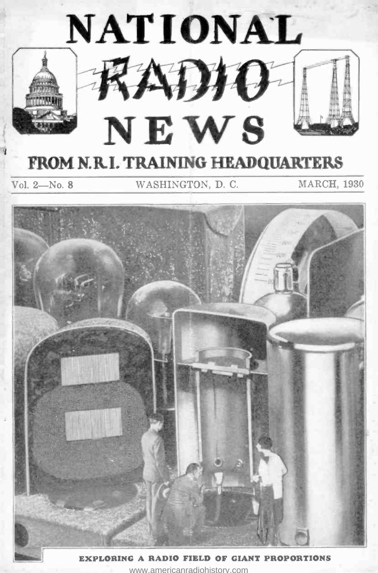

EXPLORING A RADIO FIELD OF GIANT PROPORTIONS <www.americanradiohistory.com>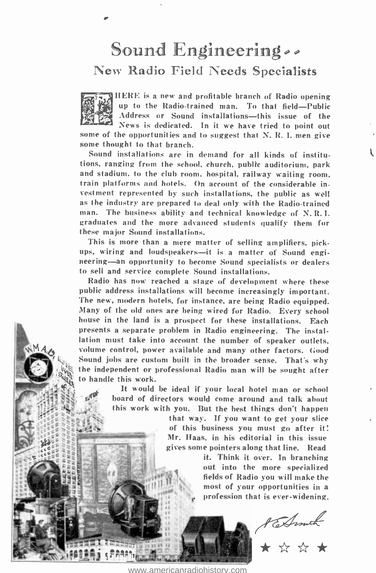# Sound Engineering. New Radio Field Needs Specialists



HERE is a new and profitable branch of Radio opening up to the Radio-trained man. To that field-Public Address or Sound installations—this issue of the<br>News is dedicated. In it we have tried to point out

some of the opportunities and to suggest that N. R. I. men give some thought to that branch.

Sound installations are in demand for all kinds of institutions, ranging from the school, church, public auditorium, park and stadium, to the club room, hospital, railway waiting room, train platforms and hotels. On account of the considerable investment represented by such installations, the public as well as the industry are prepared to deal only with the Radio -trained man. The business ability and technical knowledge of N. R.I. graduates and the more advanced students qualify them for these major Sound installations.

This is more than a mere matter of selling amplifiers, pickups, wiring and loudspeakers—it is a matter of Sound engi-<br>neering—an opportunity to become Sound specialists or dealers to sell and service complete Sound installations.

Radio has now reached a stage of development where these public address installations will become increasingly important. The new, modern hotels, for instance, are being Radio equipped. Many of the old ones are being wired for Radio. Every school house in the land is a prospect for these installations. Each presents a separate problem in Radio engineering. The installation must take into account the number of speaker outlets, volume control, power available and many other factors. Good Sound jobs are custom built in the broader sense. That's why the independent or professional Radio man will be sought after to handle this work.

> It would be ideal if your local hotel man or school board of directors would come around and talk about this work with you. But the best things don't happen

> > that way. If you want to get your slice of this business you must go after it: Mr. Haas, in his editorial in this issue gives some pointers along that line. Read

> > > it. Think it over. In branching out into the more specialized fields of Radio you will make the most of your opportunities in a profession that is ever-widening.

Achmuch



<www.americanradiohistory.com>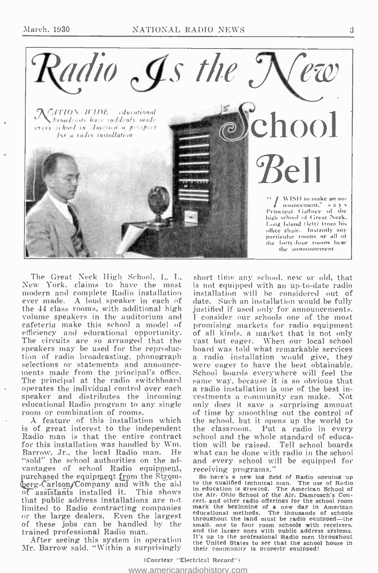

The Great Neck High School, L. I., New York, claims to have the most modern and complete Radio installation ever made. A loud speaker in each of the 44 class rooms, with additional high volume speakers in the auditorium and cafeteria make this school a model of efficiency and educational opportunity. The circuits are so arranged that the speakers may be used for the reproduction of radio broadcasting, phonograph selections or statements and announcements made from the principal's office. The principal at the radio switchboard operates the individual control over each speaker and distributes the incoming educational Radio program to any single room or combination of rooms.

A feature of this installation which is of great interest to the independent Radio man is that the entire contract for this installation was handled by Wm. Barrow, Jr., the local Radio man. He "sold" the school authorities on the advantages of school Radio equipment, purchased the equipment from the Stromberg-Carlson/Company and with the aid of assistants installed it. This shows that public address installations are not limited to Radio contracting companies<br>or the large dealers. Even the largest of these jobs can be handled by the trained professional Radio man.

After seeing this system in operation Mr. Barrow said, "Within a surprisingly short time any school, new or old, that is not equipped with an up-to-date radio installation will be considered out of date. Such an installation would be fully iustified if used only for announcements. I consider our schools one of the most promising markets for radio equipment of all kinds, a market that is not only vast but eager. When our local school board was told what remarkable services a radio installation would give, they were eager to have the best obtainable. School boards everywhere will feel the same way, because it is so obvious that a radio installation is one of the best investments a community can make. Not only does it save a surprising amount of time by smoothing out the control of<br>the school, but it opens up the world to the classroom. Put a radio in every school and the whole standard of education will be raised. Tell school boards what can be done with radio in the school and every school will be equipped for receiving programs."

So here's a new big field of Radio opening up to the qualified technical man. The use of Radio in education is growing. The American School of the Air. Ohio School of the Air, Damrosch's Concert, and other radio offerings for the school room entity and other hand other has been also the beginning of a new day in American<br>educational methods. The thousands of schools<br>throughout the land must be radio equipped—the small, one to four room schools with receivers, and the larger ones with public address systems. It's up to the professional Radio men throughout the United States to see that the school house in their community is properly equipped!

(Courtesy "Electrical Record") www.americanradiohistory.com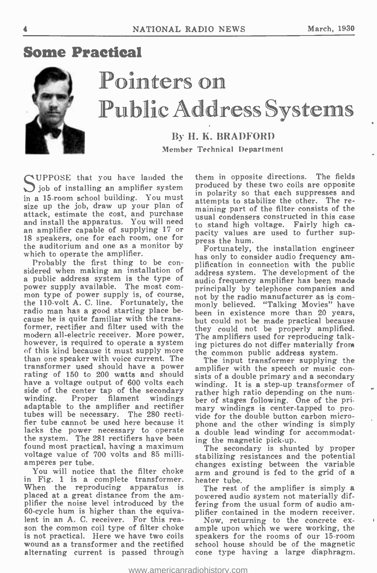## Some Practical



# Pointers on Public Address Systems

### By H. K. BRADFORD BRADFORD Member Technical Department

 $\bigcap$  UPPOSE that you have landed the  $j$  job of installing an amplifier system in a 15 -room school building. You must size up the job, draw up your plan of attack, estimate the cost, and purchase<br>and install the apparatus. You will need<br>to stand high voltage Fairly high case an amplifier capable of supplying 17 or 18 speakers, one for each room, one for the auditorium and one as a monitor by which to operate the amplifier.<br>Probably the first thing to be con-

Probably the first thing to be con-<br>sidered when making an installation of address system is the type of  $_{\text{au}}$ power supply available. The most com-<br>mon type of power supply is, of course, not mon type of power supply is, of course,  $\frac{1}{100}$  by the radio manufacturer as is com-<br>the 110-volt A. C. line. Fortunately, the  $\frac{1}{100}$  believed. "Talking Movies" have radio man has a good starting place because he is quite familiar with the transformer, rectifier and filter used with the modern all-electric receiver. More power, modern all-electric receiver. More power, The amplifiers used for reproducing talk-<br>however, is required to operate a system ing pictures do not differ materially from<br>of this kind because it must supply more the common pu than one speaker with voice current. The The input transformer supplying the transformer used should have a power<br>rating with the speech or music con-<br>rating of 150 to 200 watts and should sists of a double primary and a secondary have a voltage output of 600 volts each side of the center tap of the secondary winding in the num-<br>winding. Proper filament windings ber of stages following. One of the pri-<br>adaptable to the amplifier and rectifier mary windings is center-tapped to protubes will be necessary. The 280 rectifier tube cannot be used here because it phone and the other winding is simply lacks the power necessary to operate the system. The 281 rectifiers have been found most practical, having a maximum voltage value of '700 volts and 85 milliamperes per tube.

in Fig. 1 is a complete transformer. When the reproducing apparatus is<br>placed at a great distance from the amplaced at a great distance from the am- powered audio system not materially dif-<br>plifier the noise level introduced by the stering from the usual form of audio am-60 -cycle hum is higher than the equiva-60-cycle hum is higher than the equiva-<br>lent in an A. C. receiver. For this rea-  $\sqrt{N}$  returning to the concrete ex-<br>son the common coil type of filter choke ample upon which we were working, the is not practical. Here we have two coils speakers for the rooms of our 15-room<br>wound as a transformer and the rectified school house should be of the magnetic alternating current is passed through

them in opposite directions. The fields produced by these two coils are opposite in polarity so that each suppresses and attempts to stabilize the other. The remaining part of the filter consists of the to stand high voltage. Fairly high ca- pacity values are used to further suppress the hum.

Fortunately, the installation engineer has only to consider audio frequency amplification in connection with the public address system. The development of the audio frequency amplifier has been made principally by telephone companies and monly believed. "Talking Movies" have<br>been in existence more than 20 years, been in existence more than 20 years, but could not be made practical because they could not be properly amplified. The amplifiers used for reproducing talking pictures do not differ materially from the common public address system.

winding. It is a step-up transformer of rather high ratio depending on the nummary windings is center -tapped to provide for the double button carbon microa double lead winding for accommodating the magnetic pick-up.

nperes per tube.<br>You will notice that the filter choke sarm and ground is fed to the grid of a The secondary is shunted by proper stabilizing resistances and the potential arm and ground is fed to the grid of a

The rest of the amplifier is simply a fering from the usual form of audio am-

wound as a transformer and the rectified school house should be of the magnetic<br>alternating current is passed through cone type having a large diaphragm. Now, returning to the concrete ex- ample upon which we were working, the speakers for the rooms of our 15-room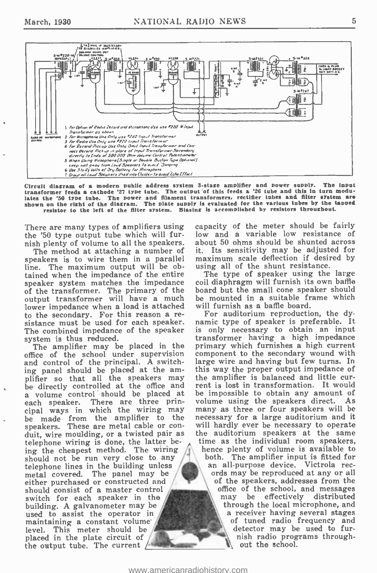

Circuit diagram of a modern public address system 3-stage amplifier and power supply. The input<br>transformer feeds a cathode '27 type tube. The output of this feeds a '26 tube and this in turn modu-The input the contrast of the state of a cathode '27 type tube. The output of this feeds a '26 tube and this in turn modu-<br>tates the '50 type tube. The power and filament transformers, rectifier tubes and filter system are<br>shown on resistor to the left of the filter system. Biasing is accomplished by resistors throughout.

There are many types of amplifiers using the '50 type output tube which will furnish plenty of volume to all the speakers.

The method at attaching a number of speakers is to wire them in a parallel line. The maximum output will be obtained when the impedance of the entire speaker system matches the impedance of the transformer. The primary of the output transformer will have a much lower impedance when a load is attached to the secondary. For this reason a resistance must be used for each speaker. The combined impedance of the speaker system is thus reduced.

The amplifier may be placed in the office of the school under supervision and control of the principal. A switching panel should be placed at the am-<br>plifier so that all the speakers may be directly controlled at the office and a volume control should be placed at each speaker. There are three principal ways in which the wiring may be made from the amplifier to the speakers. These are metal cable or conduit, wire moulding, or a twisted pair as telephone wiring is done, the latter being the cheapest method. The wiring should not be run very close to any telephone lines in the building unless metal covered. The panel may be either purchased or constructed and should consist of a master control switch for each speaker in the building. A galvanometer may be used to assist the operator in maintaining a constant volume level. This meter should be placed in the plate circuit of the output tube. The current  $/$ 

capacity of the meter should be fairly low and a variable low resistance of about 50 ohms should be shunted across it. Its sensitivity may be adjusted for maximum scale deflection if desired by using all of the shunt resistance.

The type of speaker using the large coil diaphragm will furnish its own baffle board but the small cone speaker should be mounted in a suitable frame which will furnish as a baffle board.

For auditorium reproduction, the dynamic type of speaker is preferable. It is only necessary to obtain an input transformer having a high impedance primary which furnishes a high current component to the secondary wound with large wire and having but few turns. In this way the proper output impedance of the amplifier is balanced and little current is lost in transformation. It would be impossible to obtain any amount of volume using the speakers direct. As many as three or four speakers will be necessary for a large auditorium and it will hardly ever be necessary to operate the auditorium speakers at the same time as the individual room speakers. hence plenty of volume is available to both. The amplifier input is fitted for an all-purpose device. Victrola records may be reproduced at any or all of the speakers, addresses from the office of the school, and messages be effectively distributed niay through the local microphone, and a receiver having several stages of tuned radio frequency and detector may be used to furnish radio programs throughout the school.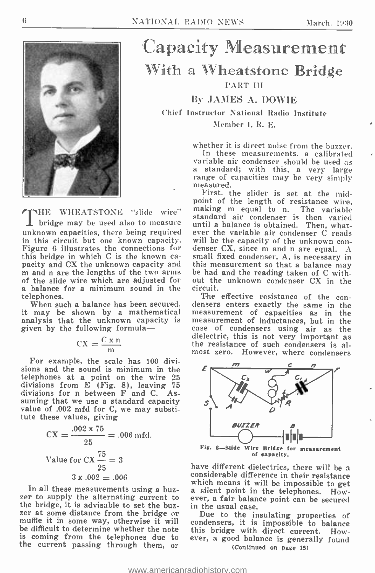

Capacity Measurement With a Wheatstone Bridge PART III

### By JAMES A. DOWIE

Chief Instructor National Radio Institute Member I. R. E.

> whether it is direct noise from the buzzer. In these measurements, a calibrated variable air condenser should be used as a standard; with this, a very large range of capacities may be very simply measured.

First, the slider is set at the mid-<br>point of the length of resistance wire, point of the length of resistance wire, making m equal to n. The variable standard air condenser is then varied until a balance is obtained. Then, whatever the variable air condenser C reads denser CX, since m and n are equal.  $A$ small fixed condenser, A, is necessary in be had and the reading taken of C without the unknown condenser CX in the circuit.

densers enters exactly the same in the measurement of capacities as in the measurement of inductances, but in the case of condensers using air as the dielectric, this is not very important as the resistance of such condensers is althe resistance of such condensers is almost zero. However, where condensers



have different dielectrics, there will be a considerable difference in their resistance which means it will be impossible to get a silent point in the telephones. However, a fair balance point can be secured

Due to the insulating properties of condensers, it is impossible to balance ever, a good balance is generally found (Continued on page 15)

THE WHEATSTONE "slide wire" bridge may be used also to measure unknown capacities, there being required ever the variable air condenser  $\tilde{C}$  reads in this circuit but one known capacity. will be the capacity of the unknown conin this circuit but one known capacity. Figure 6 illustrates the connections for this bridge in which C is the known ca-<br>pacity and  $\alpha$ CX the unknown capacity and this measurement so that a balance may<br>m and n are the lengths of the two arms be had and the reading taken of C withof the slide wire which are adjusted for a balance for a minimum sound in the circuit.<br>
The effective resistance of the con-

When such a balance has been secured, it may be shown by a mathematical measurement of capacities as in the analysis that the unknown capacity is measurement of inductances, but in the analysis that the unknown capacity is given by the following formula-

$$
CX = \frac{C \times n}{m}
$$

For example, the scale has 100 divisions and the sound is minimum in the  $\epsilon$ telephones at a point on the wire 25 divisions from E (Fig. 8), leaving 75 divisions for n between F and C. Assuming that we use a standard capacity value of .002 mfd for C, we may substitute these values, giving

$$
CX = \frac{.002 \times 75}{25} = .006 \text{ mfd.}
$$
  
Value for CX  $\frac{75}{25} = 3$   
 $3 \times .002 = .006$ 

In all these measurements using a buzzer to supply the alternating current to eve the bridge, it is advisable to set the buzthe bridge, it is advisable to set the buz-<br>zer at some distance from the bridge or muth to the insulating properties of<br>muffle it in some way, otherwise it will condensers, it is impossible to balance<br>be difficult to dete be difficult to determine whether the note is coming from the telephones due to the current passing through them, or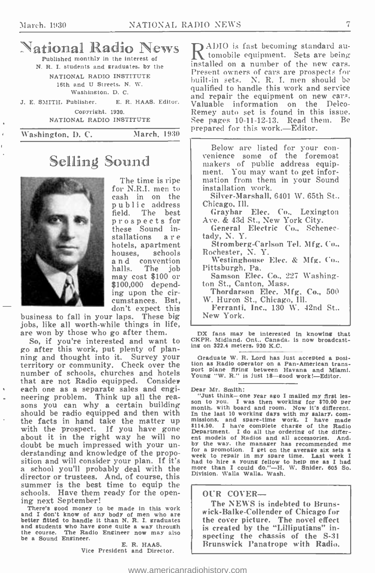### $\mathbb{N}$ ational Radio News  $R^{\text{ADIO}}$  is fast becoming standard au-Published monthly in the interest of

N. R. I. students and graduates, by the NATIONAL RADIO INSTITUTE 16th and U Streets, N. W. Washington. D. C.

Copyright, 1930.

NATIONAL RADIO INSTITUTE

NVashington, D. C. March. 1930

# Selling Sound

The time is ripe<br>for N.R.I. men to<br>cash in on the public address field. The best prospects for these Sound in-<br>stallations are hotels, apartment<br>houses, schools<br>and convention<br>halls. The iob The job may cost \$100 or<br>\$100,000 depend-<br>ing upon the circumstances. But, don't expect this

business to fall in your laps. These big jobs, like all worth -while things in life, are won by those who go after them.

So, if you're interested and want to go after this work, put plenty of planning and thought into it. Survey your Graduate W. R. Lord has just accepted a posi-<br>territory or community. Check over the tion as Radio operator on a Pan-American transnumber of schools, churches and hotels that are not Radio equipped. Consider<br>each one as a separate sales and engineering problem. Think up all the rea- "Just think-one year ago I mailed my first lessons you can why a certain building sons with heard and room. Now it's different should be radio equipped and then with the facts in hand take the matter up with the prospect. If you have gone about it in the right way he will no doubt be much impressed with your understanding and knowledge of the proposition and will consider your plan. If it's a school you'll probably deal with the director or trustees. And, of course, this summer is the best time to equip the<br>schools. Have them ready for the open-

ing next September!<br>There's good money to be made in this work<br>and I don't know of any body of men who are and I don't know of any body of men who are better fitted to handle it than N. R. I. graduates and students who have gone quite a way through the course. The Radio Engineer now may also the course. The Radio Engineer now may<br>be a Sound Engineer. E. R. HAAS.

Vice President and Director.

J. E. SMITH, Publisher. E. R. HAAS. Editor. Valuable information on the Delco-ADIO is fast becoming standard auinstalled on a number of the new cars. Present owners of cars are prospects for built -in sets. N. R. I. men should be qualified to handle this work and service and repair the equipment on new cars. Remey auto set is found in this issue. See pages 10-11-12-13. Read them. Be prepared for this work.—Editor.

> Below are listed for your con- venience some of the foremost makers of public address equipment. You may want to get information from them in your Sound installation work.

Silver-Marshall, 6401 W. 65th St., Chicago, Ill.

Graybar Elec. Co., Lexington Ave. & 43d St., New York City. General Electric Co., Schenec-

tady, N. Y.

Stromberg-Carlson Tel. Mfg. Co.. Rochester, N. Y.

Westinghouse Elec. & Mfg. Co.. Pittsburgh, Pa.

Samson Elec. Co.. 227 Washington St., Canton, Mass.

Thordarson Elec. Mfg. Co., 500 W. Huron St., Chicago, Ill.

Ferranti, Inc., 130 W. 42nd St.. New York.

DX fans may be interested in knowing that CKPR. Midland, Ont.. Canada, is now broadcasting on 322.4 meters, 930 K.C.

Graduate W. R. Lord has just accepted a posi-<br>tion as Radio operator on a Pan-American trans-<br>port plane flying between Havana and Miami.<br>Young "W. R." is just 18—good work!—Editor.

Dear Mr. Smith:

son to you. I was then working for \$70.00 per month, with board and room. Now it's different. In the last 10 working days with my salary, com- missions, and spare -time work. I have made \$114.50. I have complete charge of the Radio Department. I do all the ordering of the differ-<br>ent models of Radios and all accessories. And. ent models of Radios and all accessories. by the way, the manager has recommended me for a promotion. I get on the average six sets a week to repair in my spare time. Last week I had to hire a young fellow to help me as I had<br>more than I could do."—H. W. Snider, 605 So.<br>Division. Walla Walla, Wash.

#### OUR COVER-

The NEWS is indebted to Brunswick- Balke -Collender of Chicago for the cover picture. The novel effect is created by the "Lilliputians" inspecting the chassis of the S-31 Brunswick Panatrope with Radio.

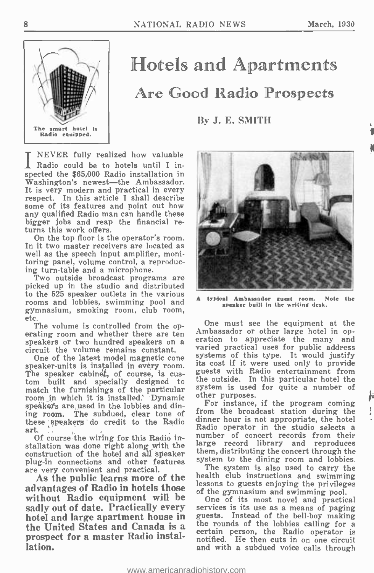N



# Hotels and Apartments Are Good Radio Prospects

### By J. E. SMITH

INEVER fully realized how valuable Radio could be to hotels until I inspected the \$65,000 Radio installation in Washington's newest—the Ambassador. It is very modern and practical in every<br>It is very modern and practical in every<br>respect. In this article I shall describe some of its features and point out how any qualified Radio man can handle these bigger jobs and reap the financial returns this work offers.<br>On the top floor is the operator's room.

In it two master receivers are located as well as the speech input amplifier, monitoring panel, volume control, a reproducing turn-table and a microphone.

Two outside broadcast programs are picked up in the studio and distributed rooms and lobbies, swimming pool and gymnasium, smoking room, club room, etc.<br>The volume is controlled from the op-

erating room and whether there are ten<br>speakars of two hundred speakars on a cration to appreciate the many and speakers or two hundred speakers on a circuit the volume remains constant.<br>One of the latest model magnetic cone

speaker-units is installed in every room.<br>The speaker cabine‡, of course, is cus-<br>tom built and specially designed to match the furnishings of the particular room in which it is installed. Dynamic speakers are used in the lobbies and dining room. The subdued, clear tone of these speakers do credit to the Radio dinner nour is not appropriate, the notel<br>art in the studio selects a art.

Of course the wiring for this Radio installation was done right along with the large record library and reproduces<br>construction of the hotel and all speaker them, distributing the concert through the construction of the hotel and all speaker<br>plug-in connections and other features<br>are very convenient and practical.

advantages of Radio in hotels those essents to guests enjoying the privilege without Radio equipment will be one of its most novel and practical sadly out of date. Practically every services is its use as a means of paging<br>hotel and large apartment house in guests. Instead of the bell-boy making hotel and large apartment house in guests. Instead of the bell-boy making<br>the United States and Canada is a state rounds of the lobbies calling for a the United States and Canada is a <sup>the rounds of the lobbles calling</sup> for a prospect for a master Radio installation.



typical Ambassador guest room. Note speaker built in the writing desk.

One must see the equipment at the Ambassador or other large hotel in opvaried practical uses for public address<br>systems of this type. It would justify systems of this type. It would justify its cost if it were used only to provide guests with Radio entertainment from the outside. In this particular hotel the system is used for quite a number of other purposes.

For instance, if the program coming<br>from the broadcast station during the dinner hour is not appropriate, the hotel Radio operator in the studio selects a number of concert records from their large record library and reproduces them, distributing the concert through the system to the dining room and lobbies.

As the public learns more of the health club instructions and swimming The system is also used to carry the lessons to guests enjoying the privileges

services is its use as a means of paging notified. He then cuts in on one circuit and with a subdued voice calls through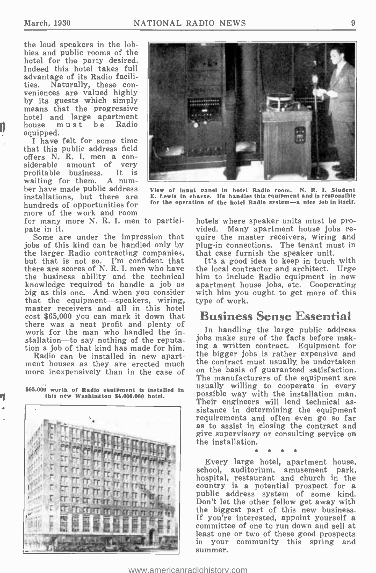the loud speakers in the lobbies and public rooms of the hotel for the party desired. Indeed this hotel takes full advantage of its Radio faciliveniences are valued highly by its guests which simply<br>means that the progressive hotel and large apartment<br>house must be Radio equipped.

I have felt for some time that this public address field siderable amount of very<br>profitable business. It is waiting for them. A num-<br>ber have made public address view of input panel in hotel Radio room. installations, but there are more of the work and room<br>for many more N. R. I. men to partici-

pate in it.

Some are under the impression that<br>jobs of this kind can be handled only by jobs of this kind can be handled only by plu<sub>i</sub><br>the larger Radio contracting companies, that<br>but that is not so. I'm confident that there are scores of N. R. I. men who have the business ability and the technical him to include Radio equipment in new<br>knowledge required to handle a job as apartment house jobs, etc. Cooperating knowledge required to handle a job as apartment house jobs, etc. Cooperating big as this one. And when you consider with him you ought to get more of this that the equipment-speakers, wiring, master receivers and all in this hotel cost \$65,000 you can mark it down that there was a neat profit and plenty of work for the man who handled the installation-to say nothing of the reputa- tion a job of that kind has made for him.

Radio can be installed in new apart-

\$65.000 worth of Radio equipment is installed in this new Washington \$4.000.000 hotel.





View of input panel in hotel Radio room. N. R. I. Student E. Lewis in charge. He handles this equipment and is responsible for the operation of the hotel Radio system-a nice job in itself.

hotels where speaker units must be provided. Many apartment house jobs require the master receivers, wiring and plug-in connections. The tenant must in that case furnish the speaker unit.

It's a good idea to keep in touch with the local contractor and architect. Urge him to include Radio equipment in new type of work.

### Business Sense Essential

ment houses as they are erected much the contract must usually be undertaken<br>more inexpensively than in the case of on the basis of guaranteed satisfaction. In handling the large public address jobs make sure of the facts before making a written contract. Equipment for the bigger jobs is rather expensive and the contract must usually be undertaken The manufacturers of the equipment are usually willing to cooperate in every possible way with the installation man.<br>Their engineers will lend technical assistance in determining the equipment<br>requirements and often even go so far as to assist in closing the contract and give supervisory or consulting service on the installation.

Every large hotel, apartment house, school, auditorium, amusement park, hospital, restaurant and church in the country is a potential prospect for a public address system of some kind. Don't let the other fellow get away with the biggest part of this new business. If you're interested, appoint yourself a committee of one to run down and sell at least one or two of these good prospects in your community this spring and summer.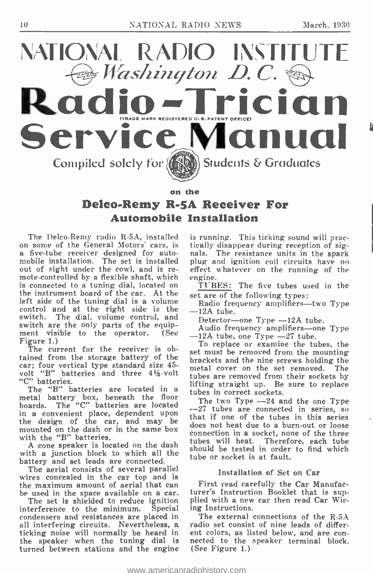

# Deleo.Remy R.SA Receiver For Automobile Installation

The Delco-Remy radio R-5A, installed on some of the General Motors' cars, is a five-tube receiver designed for auto-<br>mobile installation. The set is installed plug and ignition coil circuits have no<br>out of sight under the cowl, and is re-<br>effect whatever on the running of the mote-controlled by a flexible shaft, which engine. is connected to a tuning dial, located on TUBES: The five tubes us<br>the instrument board of the car. At the set are of the following types: left side of the tuning dial is a volume control and at the right side is the  $\frac{1}{2}$ switch. The dial, volume control, and<br>switch are the only parts of the equipment visible to the operator. (See  $\frac{12A}{-12A}$  tube, one Type  $-27$  tube. Figure 1.)

The current for the receiver is obtained from the storage battery of the brackets and the nine screws holding the car; four vertical type standard size 45 volt "B" batteries and three  $4\frac{1}{2}$ -volt "C" batteries.

The "B" batteries are located in a metal battery box, beneath the floor tu boards. The "C" batteries are located  $-\frac{1}{2}$ in a convenient place, dependent upon  $\frac{1}{10}$ in a convenient place, dependent upon<br>the design of the car, and may be does not beat due to a hum out on loose mounted on the dash or in the same box with the "B" batteries.

A cone speaker is located on the dash with a junction block to which all the battery and set leads are connected.<br>The aerial consists of several parallel

The aerial consists of several parallel wires concealed in the car top and is the maximum amount of aerial that can be used in the space available on a car.

be used in the space available on a car.<br>The set is shielded to reduce ignition<br>interference to the minimum. Special condensers and resistances are placed in all interfering circuits. Nevertheless, a ticking noise will normally be heard in ent colors, as listed below, and are con-<br>the speaker when the tuning dial is nected to the speaker terminal block. the speaker when the tuning dial is turned between stations and the engine

is running. This ticking sound will prac-<br>tically disappear during reception of sig-

TUBES: The five tubes used in the

Radio frequency amplifiers—two Type<br>-12A tube.

Detector-one Type -12A tube.

Audio frequency amplifiers-one Type

To replace or examine the tubes, the set must be removed from the mounting brackets and the nine screws holding the metal cover on the set removed. tubes are removed from their sockets by lifting straight up. Be sure to replace tubes in correct sockets.<br>The two Type ---24 and the one Type

--27 tubes are connected in series, so does not heat due to a burn-out or loose connection in a socket, none of the three tubes will heat. Therefore, each tube should be tested in order to find which tube or socket is at fault.

#### Installation of Set on Car

First read carefully the Car Manufacturer's Instruction Booklet that is supplied with a new car then read Car Wiring Instructions.

The external connections of the R-5A radio set consist of nine leads of different colors, as listed below, and are con-(See Figure 1.)

<www.americanradiohistory.com>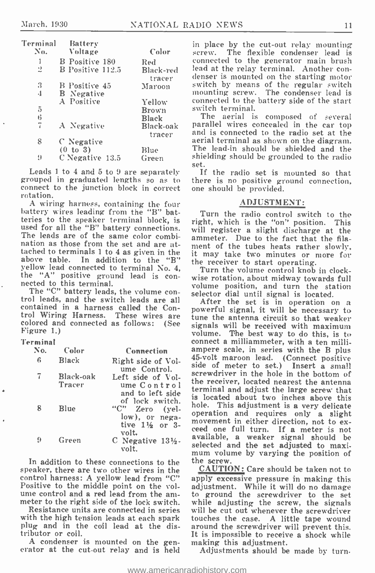| Terminal<br>No. | Battery<br>Voltage | Color               | in<br>\$C         |
|-----------------|--------------------|---------------------|-------------------|
| 1               | B Positive 180     | Red                 | ec                |
| 2               | B Positive 112.5   | Black-red<br>tracer | le<br>dε          |
| 3               | B Positive 45      | Maroon              | SV.               |
| 4               | <b>B</b> Negative  |                     | m                 |
|                 | A Positive         | Yellow              | $_{\rm CO}$       |
| 5               |                    | Brown               | SV                |
| 6               |                    | Black               |                   |
| 7               | A Negative         | Black-oak           | pε                |
|                 |                    | tracer              | ar                |
| 8               | C Negative         |                     | a€                |
|                 | (0 to 3)           | Blue                | T                 |
| 9               | C Negative 13.5    | Green               | sh                |
|                 |                    |                     | $\alpha$ $\alpha$ |

Leads 1 to 4 and 5 to 9 are separately grouped in graduated lengths so as to connect to the junction block in correct one should be provided. rotation.

A wiring harness, containing the four battery wires leading from the "B" batteries to the speaker terminal block, is used for all the "B" battery connections. The leads are of the same color combination as those from the set and are atnation as those from the set and are at-<br>tached to terminals 1 to 4 as given in the  $\frac{1}{1}$  it may take two minutes or more for above table. In addition to the "B" yellow lead connected to terminal No. 4, the "A" positive ground lead is connected to this terminal.

The "C" battery leads, the volume con-<br>trol leads, and the switch leads are all<br>contained in a harness called the Control Wiring Harness. These wires are colored and connected as follows: (See Figure 1.)

#### Terminal

| No. | Color               | Connection                                                              | am                         |
|-----|---------------------|-------------------------------------------------------------------------|----------------------------|
| - 6 | Black               | Right side of Vol-<br>ume Control.                                      | $45 -$<br>sid              |
|     | Black-oak<br>Tracer | Left side of Vol-<br>ume Control<br>and to left side<br>of lock switch. | scr<br>the<br>ter<br>is    |
| 8   | Blue                | "C" Zero (yel-<br>low), or nega-<br>tive $1\frac{1}{2}$ or 3-<br>volt.  | hol<br>ope<br>mo<br>cee    |
| 9   | Green               | C Negative $13\frac{1}{2}$ .<br>volt.                                   | a vs<br>sel<br><b>1333</b> |

In addition to these connections to the the screw. speaker, there are two other wires in the control harness: A yellow lead from "C"

Resistance units are connected in series with the high tension leads at each spark plug and in the coil lead at the distributor or coil.<br>A condenser is mounted on the gen-

A condenser is mounted on the gen- making this adjustment.<br>erator at the cut-out relay and is held Adjustments should be

in place by the cut -out relay mounting screw. The flexible condenser lead is connected to the generator main brush lead at the relay terminal. Another con- denser is mounted on the starting motor switch by means of the regular switch mounting screw. The condenser lead is connected to the battery side of the start switch terminal.

The aerial is composed of several parallel wires concealed in the car top and is connected to the radio set at the aerial terminal as shown on the diagram. The lead -in should be shielded and the shielding should be grounded to the radio set.

If the radio set is mounted so that there is no positive ground connection,

#### ADJUSTMENT:

Turn the radio control switch to the right, which is the "on" position. This will register a slight discharge at the ammeter. Due to the fact that the filait may take two minutes or more for the receiver to start operating. Turn the volume control knob in clock-

wise rotation, about midway towards full volume position, and turn the station selector dial until signal is located.

Left side of Vol-<br>
ume Control the receiver, located nearest the antenna<br>
ume Control terminal and adjust the large sensy that After the set is in operation on a powerful signal, it will be necessary to tune the antenna circuit so that weaker signals will be received with maximum volume. The best way to do this, is to connect a milliammeter, with a ten milli-45-volt maroon lead. (Connect positive side of meter to set.) Insert a small screwdriver in the hole in the bottom of terminal and adjust the large screw that is located about two inches above this hole. This adjustment is a very delicate<br>operation and requires only a slight movement in either direction, not to ex-<br>ceed one full turn. If a meter is not available, a weaker signal should be selected and the set adjusted to maxi- mum volume by varying the position of

Positive to the middle point on the vol-<br>ume control and a red lead from the am-<br>meter to the right side of the lock switch. while adjusting the screw, the signals CAUTION: Care should be taken not to apply excessive pressure in making this adjustment. While it will do no damage to ground the screwdriver to the set will be cut out whenever the screwdriver touches the case. A little tape wound around the screwdriver will prevent this. It is impossible to receive a shock while

Adjustments should be made by turn-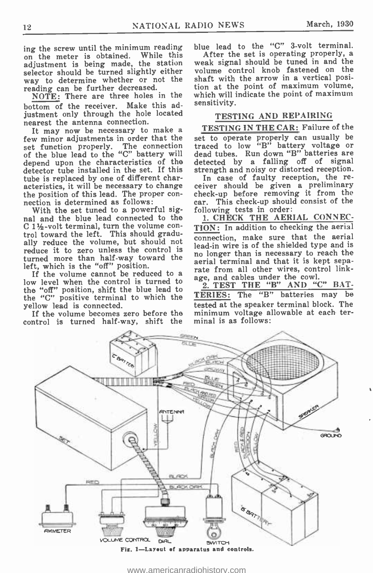ing the screw until the minimum reading blue lead to the "C" 3-volt terminal.<br>on the meter is obtained. While this After the set is operating properly, a adjustment is being made, the station selector should be turned slightly either way to determine whether or not the reading can be further decreased.

NOTE: There are three holes in the bottom of the receiver. Make this adjustment only through the hole located nearest the antenna connection.

It may now be necessary to make a few minor adjustments in order that the set function properly. The connection traced to low "B" battery voltage or<br>of the blue lead to the "C" battery will dead tubes. Run down "B" batteries are of the blue lead to the "C" battery will depend upon the characteristics of the detector tube installed in the set. If this strength and noisy or distorted reception.<br>tube is replaced by one of different char-<br>In case of faulty reception, the retube is replaced by one of different characteristics, it will be necessary to change the position of this lead. The proper con- nection is determined as follows:

With the set tuned to a powerful signal and the blue lead connected to the  $C1\frac{1}{2}$ -volt terminal, turn the volume con-<br>trol toward the left. This should gradually reduce the volume, but should not connection, make sure that the action reduce it to zero unless the control is turned more than half-way toward the<br>left, which is the "off" position.

If the volume cannot be reduced to a low level when the control is turned to the "off" position, shift the blue lead to  $\pi \frac{2}{n}$ the "C" positive terminal to which the  $TE$ yellow lead is connected.

If the volume becomes zero before the control is turned half-way, shift the

RED

A x

blue lead to the "C" 3-volt terminal.

weak signal should be tuned in and the volume control knob fastened on the shaft with the arrow in a vertical position at the point of maximum volume, which will indicate the point of maximum sensitivity.

#### TESTING AND REPAIRING

TESTING IN THE CAR: Failure of the set to operate properly can usually be traced to low "B" battery voltage or detected by a falling off of signal strength and noisy or distorted reception.

ceiver should be given a preliminary check -up before removing it from the car. This check -up should consist of the following tests in order:

1. CHECK THE AERIAL CONNEC-TION: In addition to checking the aerial connection, make sure that the aerial no longer than is necessary to reach the aerial terminal and that it is kept separate from all other wires, control linkage, and cables under the cowl.

2. TEST THE "B" AND "C" BAT-TERIES: The "B" batteries may be tested at the speaker terminal block. The minimum voltage allowable at each terminal is as follows:

The common

con i



**SREEN** 

'1 4111111111111111111i111-+ r\;,~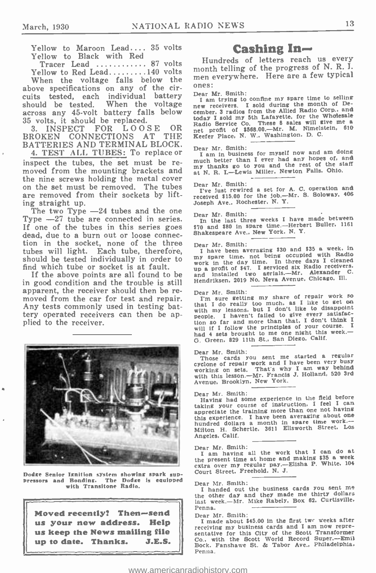Yellow to Maroon Lead....  $35$  volts Yellow to Black with Red

Yellow to Red Lead........140 volts

When the voltage falls below the  $\frac{m}{n}$  next. above specifications on any of the circuits tested, each individual battery Dear Mr. Smith:<br>should be tested. When the voltage I am trying to confine my spare time to selling<br>hould be tested. When the voltage new receivers. I sold during the month of Deshould be tested. When the voltage across any 45 -volt battery falls below 35 volts, it should be replaced.<br>3 INSPECT FOR LOOSE OR

3. INSPECT FOR LOOSE OR<br>ROKEN CONNECTIONS AT THE BROKEN CONNECTIONS BATTERIES AND TERMINAL BLOCK. 4. TEST ALL TUBES: To replace or

inspect the tubes, the set must be re-<br>moved from the mounting brackets and<br>the nine screws holding the metal cover on the set must be removed. The tubes are removed from their sockets by lift-

ing straight up.<br>The two Type -24 tubes and the one Type  $-27$  tube are connected in series. If one of the tubes in this series goes  $\frac{170 \text{ and } 380 \text{ in } \text{spare time.}-\text{Herbed}}{\text{dead, due to a burn out or loose connec}}$ tion in the socket, none of the three tubes will light. Each tube, therefore, should be tested individually in order to find which tube or socket is at fault.

in good condition and the trouble is still moved from the car for test and repair.<br>Any tests commonly used in testing battery operated receivers can then be applied to the receiver.



Dodge Senior Ignition system showing spark sup-<br>Pressors and Bonding. The Dodge is equipped<br>with Transitone Radin.



### Cashing In-

Tracer Lead  $\ldots$  87 volts hundreds of letters reach us every Hundreds of letters reach us every men everywhere. Here are a few typical

I am trying to confine my spare time to selling new receivers. I some and allied Radio Corp., and<br>today I sold my 5th Lafayette, for the Whotesale<br>Radio Service Co. These 8 sales will give me a<br>net profit of \$568.00.—Mr. M. Nimelstein, 610<br>Keefer Place, N. W., Washingto

#### Dear Mr. Smith:

I am in business for myself now and am doing much better than I ever had any hopes of, and my thanks go to you and the rest of the staff at N. R. I.-Lewis Miller. Newton Falls. Ohio.

#### Dear Mr. Smith:

I've Just rewired a set for A. C. operation and received \$15.00 for the Job. -Mr. S. Soloway, <sup>406</sup> Joseph Ave.. Rochester. N. Y.

#### Dear Mr. Smith:

In the last three weeks I have made between \$70 and \$80 in spare time.--Herbert Buller. 1161

#### Dear Mr. Smith:

If the above points are all found to be and installed two aerials.—Mr. Alexander  $\alpha$  and condition and the trouble is still Hendriksen, 2019 No. Neva Avenue, Chicago, Ill. <sup>I</sup>have been averaging \$30 and \$35 a week, in my spare time. not being occupied with Radio<br>work in the day time. In three days I cleaned<br>more than the Bodio receivers. work in the tax statute.<br>
and installed two aerials.—Mr. Alexander C.<br>
Hendriksen, 2019 No. Neva Avenue, Chicago, Ill.

Dear Mr. Smith:<br>I'm sure getting my share of repair work so Dear Mr. Shinin<br>I'm sure getting my share of repair work so<br>that I do really too much, as I like to disappoint<br>with my lessons, but I don't like to disappoint<br>people. I haven't failed to give every satisfacpeople. I haven't failed to give very savake.<br>
flon so far and more than that. I don't think I<br>
will if I follow the principles of your course. I<br>
had 4 sets brought to me one night this week.—<br>
calif O. Green. 829 11th St., San Diego. Calif.

Dear Mr. Smith: Those cards you sent me started a regular I have called you been very busy<br>working on sets. That's why I am way behind<br>with this lesson.—Mr. Francis J. Holland, 520 3rd<br>with this lesson.—Mr. Francis J. Holland, 520 3rd Avenue. Brooklyn. New York.

#### Dear Mr. Smith:

Having had some experience in the field before<br>taking your course of instruction, I feel I can appreciate the training more than one not having appreciate the training more than one not naving<br>this experience. I have been averaging about one<br>hundred dollars a month in spare time work. --<br>Milton H. Schertle, 3611 Ellsworth Street, Los Angeles. Calif.

Dear Mr. Smith: I am having all the work that I can do at the present time at home and making \$35 a week extra over my regular pay. -Elisha P. White, 104 Court Street. Freehold, N. J.

Dear Mr. Smith: I handed out the business cards you sent me the other day and they made me thirty dollars last week.-Mr. Mike Rabely. Box 62. Curtisville. Penna.

Dear Mr. Smith:<br>I made about \$45.00 in the first twr weeks after<br>receiving my business cards and I am now representative for this City of the Scott Transformer Co.. with the Scott World Record Super. -Emil Bock. Fanshawe St. & Tabor Ave., Philadelphia, Penna.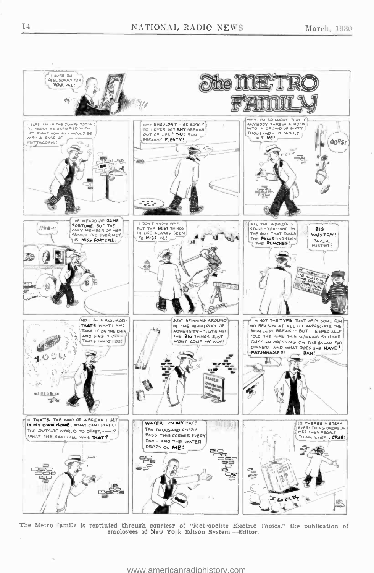

The Metro family is reprinted through courtesy of "Metropolite Electric Topics," the publication of employees of New York Edison System.-Editor.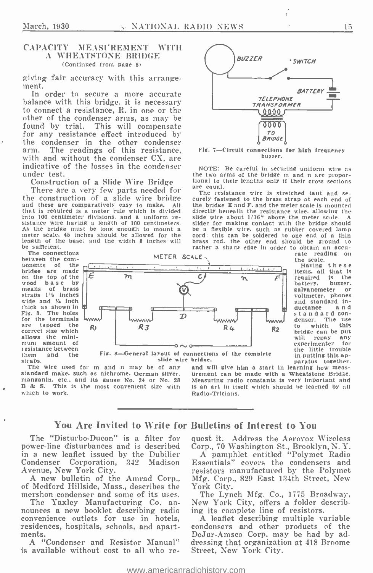#### CAPACITY MEASUREMENT WITH A WHEATSTONE BRIDGE (Continued from page 6)

giving fair accuracy with this arrange-<br>ment.

In order to secure a more accurate balance with this bridge, it is necessary to connect a resistance, R, in one or the other of the condenser arms, as may be<br>found by trial. This will compensate for any resistance effect introduced by the condenser in the other condenser arm. The readings of this resistance, with and without the condenser CX, are indicative of the losses in the condenser NOTE: Be careful in securing uniform wire as under test.

Construction of a Slide Wire Bridge<br>There are a very few parts needed for<br>the construction of a slide wire bridge The resistance wire is stretched taut and se-<br>the construction of a slide wire bridge curely fastened to the the construction of a slide wire bridge curely fastened to the brass strap at each end of and these are comparatively easy to make. All the bridge  $\epsilon$  and  $\mathbb{F}$ , and the meter scale is mounted that is required is a me sistance wire having a length of 100 centimeters. Silder for making contact with the bridge should<br>as the bridge must be long enough to mount a meter scale. 45 inches should be allowed for the base should be allowed for th length of the base: and the width 8 inches will be sufficient.

The connections between the com- ponents of the bridge are made<br>on the top of the  $\sqrt{\frac{E}{E}}$ means of brass straps  $1\frac{1}{2}$  inches  $\left|\right|$ thick as shown in Fig. 8. The holes for the terminals are tapped the correct size which allows the mini-<br>mum amount of resistance between<br>them and the



The wire used for m and n may be of any and will give him a start in learning how meas-<br>standard make. such as nichrome. German silver. urement can be made with a Wheatstone Bridge.<br>manganin, etc., and its gauge No. 24 or manganin, etc., and its gauge No. 24 or No. 28<br>B & S. This is the most convenient size with which to work.

oriage. paratus together. paratus together. and will give him a start in learning how meas- urement can be made with a Wheatstone Bridge. is an art in itself which should be learned by all Radio-Tricians.

BUZZER · SWITCH

*TELEPHONE<br>TRANSFORMER*<br>TL 0000 *F* 

To **BRIDGE** Fig. 7-Circuit connections for high frequency buzzer. the two arms of the bridge m and n are propor-

ഞ്ഞ

the bridge E and F. and the meter scale is mounted directly beneath the resistance wire, allowing the<br>slide wire about 1/16" above the meter scale. A<br>slider for making contact with the bridge should be a flexible wire, such as rubber covered lamp

**BATTFRY** 

#### You Are Invited to Write for Bulletins of Interest to You

The "Disturbo-Ducon" is a filter for power -line disturbances and is described in a new leaflet issued by the Dubilier<br>Condenser Corporation, 342 Madison Condenser Corporation, 342 Avenue, New York City.

A new bulletin of the Amrad Corp., Mfg. Corp.<br>Medford Hillside, Mass., describes the York City. of Medford Hillside, Mass., describes the

The Yaxley Manufacturing Co. an-<br>nounces a new booklet describing radio convenience outlets for use in hotels, residences, hospitals, schools, and apartments.

A "Condenser and Resistor Manual" is available without cost to all who request it. Address the Aerovox Wireless Corp., 70 Washington St., Brooklyn, N. Y.

A pamphlet entitled "Polymet Radio Essentials" covers the condensers and resistors manufactured by the Polymet Mfg. Corp., 829 East 134th Street, New

The Lynch Mfg. Co., 1775 Broadway, New York City, offers a folder describing its complete line of resistors.

A leaflet describing multiple variable condensers and other products of the DeJur- Anrsco Corp. may be had by addressing that organization at 418 Broome Street, New York City.

these

items. all that is required is the<br>hattery, buzzer, battery, buzzer.<br>galvanometer or voltmeter, phones<br>and standard in-<br>ductance and standard con-<br>denser. The use<br>to which this bridge can be put will repay any experimenter for the little trouble in putting this ap-

<www.americanradiohistory.com>